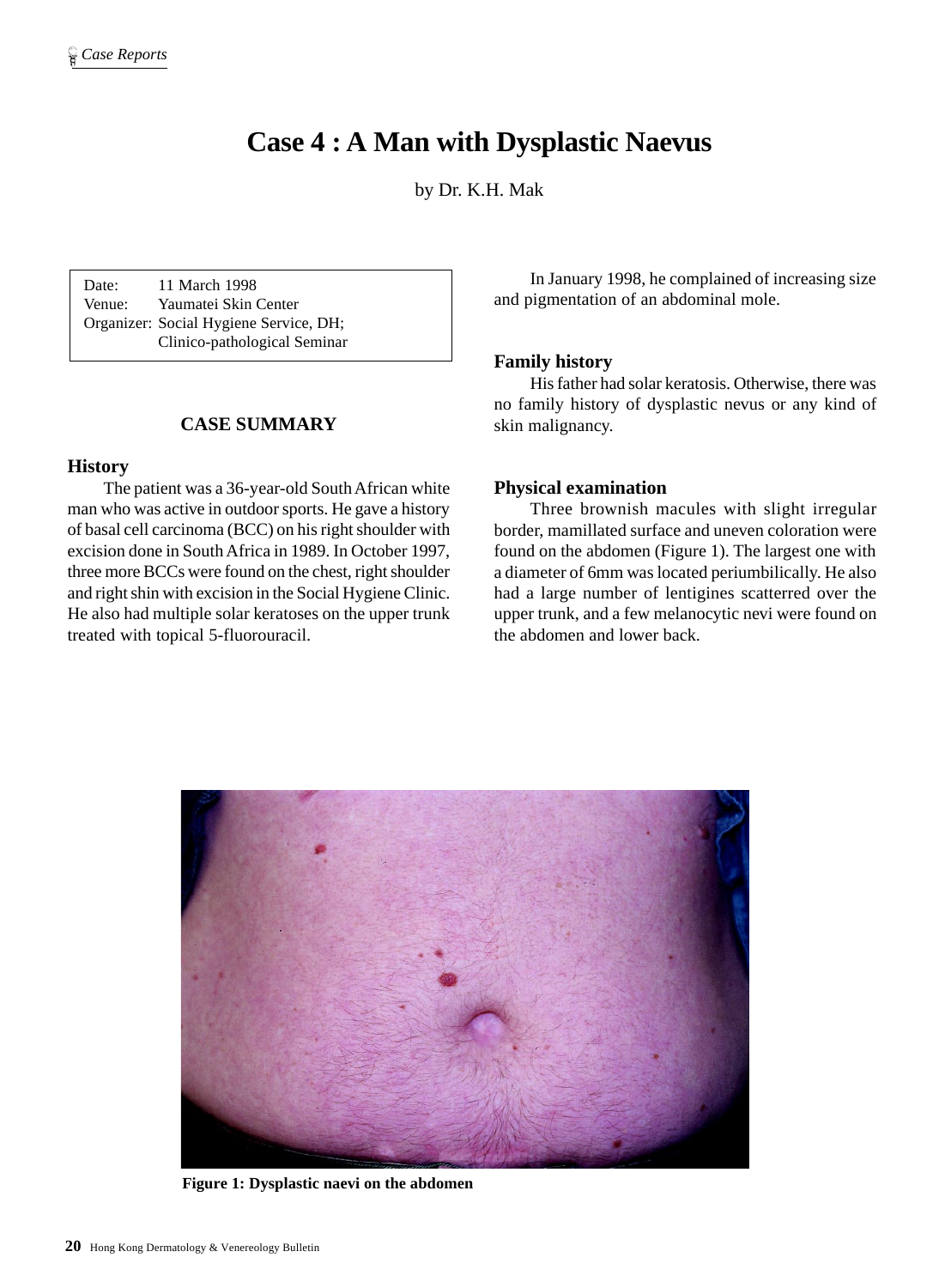# **Case 4 : A Man with Dysplastic Naevus**

by Dr. K.H. Mak

Date: 11 March 1998 Venue: Yaumatei Skin Center Organizer: Social Hygiene Service, DH; Clinico-pathological Seminar

# **CASE SUMMARY**

### **History**

The patient was a 36-year-old South African white man who was active in outdoor sports. He gave a history of basal cell carcinoma (BCC) on his right shoulder with excision done in South Africa in 1989. In October 1997, three more BCCs were found on the chest, right shoulder and right shin with excision in the Social Hygiene Clinic. He also had multiple solar keratoses on the upper trunk treated with topical 5-fluorouracil.

In January 1998, he complained of increasing size and pigmentation of an abdominal mole.

#### **Family history**

His father had solar keratosis. Otherwise, there was no family history of dysplastic nevus or any kind of skin malignancy.

#### **Physical examination**

Three brownish macules with slight irregular border, mamillated surface and uneven coloration were found on the abdomen (Figure 1). The largest one with a diameter of 6mm was located periumbilically. He also had a large number of lentigines scatterred over the upper trunk, and a few melanocytic nevi were found on the abdomen and lower back.



**Figure 1: Dysplastic naevi on the abdomen**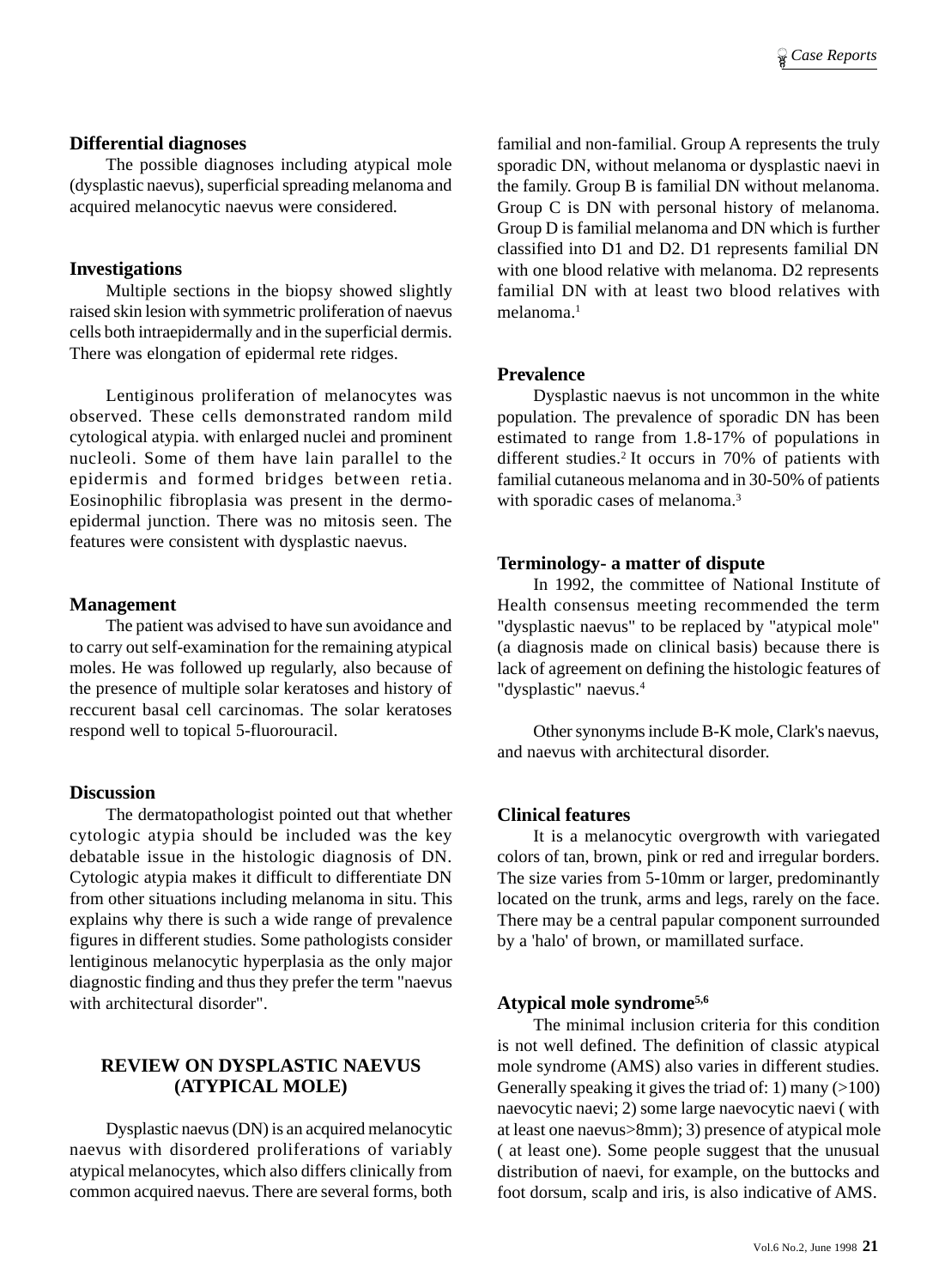### **Differential diagnoses**

The possible diagnoses including atypical mole (dysplastic naevus), superficial spreading melanoma and acquired melanocytic naevus were considered.

## **Investigations**

Multiple sections in the biopsy showed slightly raised skin lesion with symmetric proliferation of naevus cells both intraepidermally and in the superficial dermis. There was elongation of epidermal rete ridges.

Lentiginous proliferation of melanocytes was observed. These cells demonstrated random mild cytological atypia. with enlarged nuclei and prominent nucleoli. Some of them have lain parallel to the epidermis and formed bridges between retia. Eosinophilic fibroplasia was present in the dermoepidermal junction. There was no mitosis seen. The features were consistent with dysplastic naevus.

### **Management**

The patient was advised to have sun avoidance and to carry out self-examination for the remaining atypical moles. He was followed up regularly, also because of the presence of multiple solar keratoses and history of reccurent basal cell carcinomas. The solar keratoses respond well to topical 5-fluorouracil.

## **Discussion**

The dermatopathologist pointed out that whether cytologic atypia should be included was the key debatable issue in the histologic diagnosis of DN. Cytologic atypia makes it difficult to differentiate DN from other situations including melanoma in situ. This explains why there is such a wide range of prevalence figures in different studies. Some pathologists consider lentiginous melanocytic hyperplasia as the only major diagnostic finding and thus they prefer the term "naevus with architectural disorder".

# **REVIEW ON DYSPLASTIC NAEVUS (ATYPICAL MOLE)**

Dysplastic naevus (DN) is an acquired melanocytic naevus with disordered proliferations of variably atypical melanocytes, which also differs clinically from common acquired naevus. There are several forms, both

familial and non-familial. Group A represents the truly sporadic DN, without melanoma or dysplastic naevi in the family. Group B is familial DN without melanoma. Group C is DN with personal history of melanoma. Group D is familial melanoma and DN which is further classified into D1 and D2. D1 represents familial DN with one blood relative with melanoma. D2 represents familial DN with at least two blood relatives with melanoma<sup>1</sup>

## **Prevalence**

Dysplastic naevus is not uncommon in the white population. The prevalence of sporadic DN has been estimated to range from 1.8-17% of populations in different studies.<sup>2</sup> It occurs in 70% of patients with familial cutaneous melanoma and in 30-50% of patients with sporadic cases of melanoma.<sup>3</sup>

### **Terminology- a matter of dispute**

In 1992, the committee of National Institute of Health consensus meeting recommended the term "dysplastic naevus" to be replaced by "atypical mole" (a diagnosis made on clinical basis) because there is lack of agreement on defining the histologic features of "dysplastic" naevus.<sup>4</sup>

Other synonyms include B-K mole, Clark's naevus, and naevus with architectural disorder.

## **Clinical features**

It is a melanocytic overgrowth with variegated colors of tan, brown, pink or red and irregular borders. The size varies from 5-10mm or larger, predominantly located on the trunk, arms and legs, rarely on the face. There may be a central papular component surrounded by a 'halo' of brown, or mamillated surface.

# **Atypical mole syndrome5,6**

The minimal inclusion criteria for this condition is not well defined. The definition of classic atypical mole syndrome (AMS) also varies in different studies. Generally speaking it gives the triad of: 1) many (>100) naevocytic naevi; 2) some large naevocytic naevi ( with at least one naevus>8mm); 3) presence of atypical mole ( at least one). Some people suggest that the unusual distribution of naevi, for example, on the buttocks and foot dorsum, scalp and iris, is also indicative of AMS.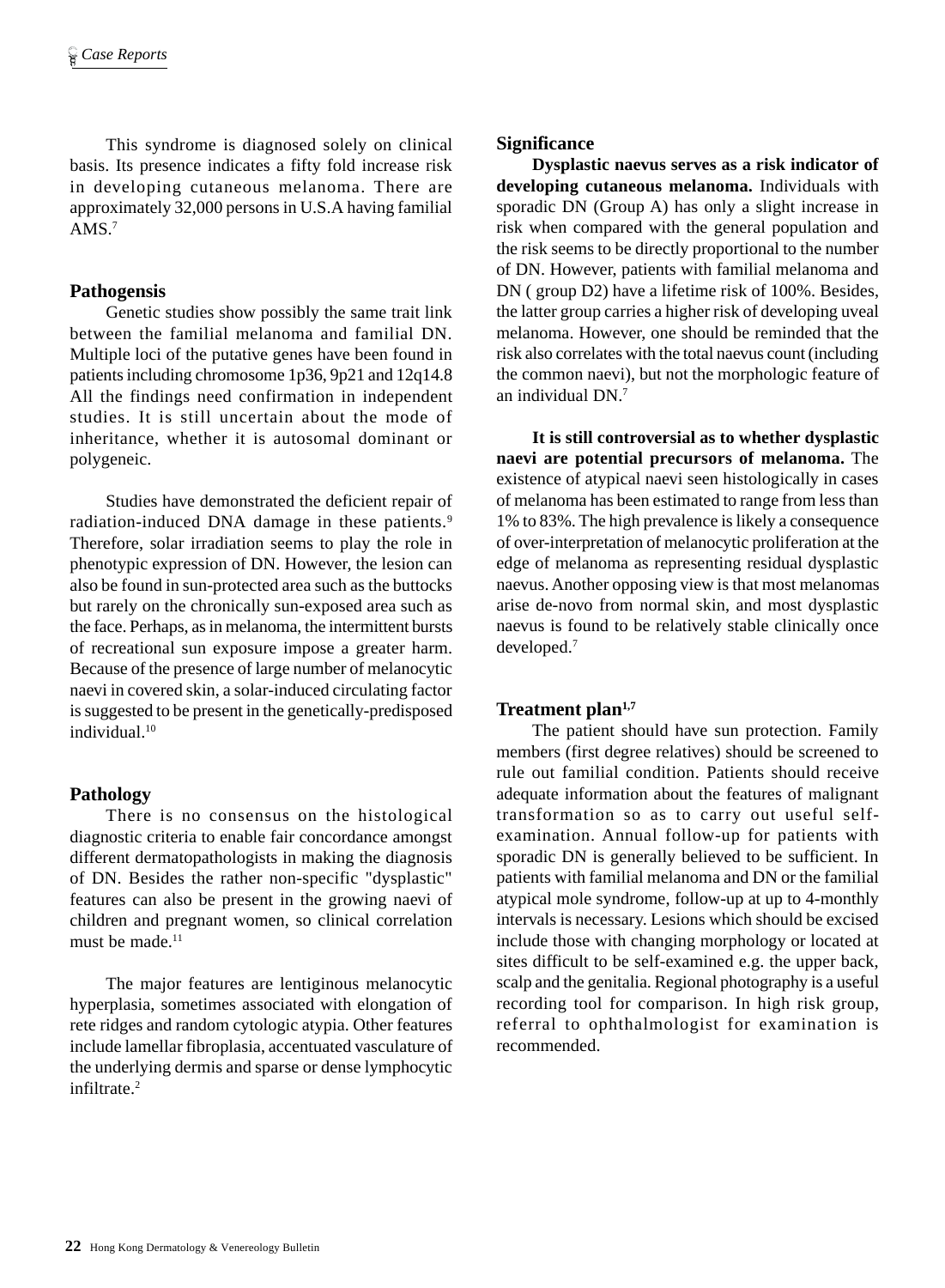This syndrome is diagnosed solely on clinical basis. Its presence indicates a fifty fold increase risk in developing cutaneous melanoma. There are approximately 32,000 persons in U.S.A having familial AMS $<sup>7</sup>$ </sup>

### **Pathogensis**

Genetic studies show possibly the same trait link between the familial melanoma and familial DN. Multiple loci of the putative genes have been found in patients including chromosome 1p36, 9p21 and 12q14.8 All the findings need confirmation in independent studies. It is still uncertain about the mode of inheritance, whether it is autosomal dominant or polygeneic.

Studies have demonstrated the deficient repair of radiation-induced DNA damage in these patients.<sup>9</sup> Therefore, solar irradiation seems to play the role in phenotypic expression of DN. However, the lesion can also be found in sun-protected area such as the buttocks but rarely on the chronically sun-exposed area such as the face. Perhaps, as in melanoma, the intermittent bursts of recreational sun exposure impose a greater harm. Because of the presence of large number of melanocytic naevi in covered skin, a solar-induced circulating factor is suggested to be present in the genetically-predisposed individual.10

## **Pathology**

There is no consensus on the histological diagnostic criteria to enable fair concordance amongst different dermatopathologists in making the diagnosis of DN. Besides the rather non-specific "dysplastic" features can also be present in the growing naevi of children and pregnant women, so clinical correlation must be made.<sup>11</sup>

The major features are lentiginous melanocytic hyperplasia, sometimes associated with elongation of rete ridges and random cytologic atypia. Other features include lamellar fibroplasia, accentuated vasculature of the underlying dermis and sparse or dense lymphocytic infiltrate.2

## **Significance**

**Dysplastic naevus serves as a risk indicator of developing cutaneous melanoma.** Individuals with sporadic DN (Group A) has only a slight increase in risk when compared with the general population and the risk seems to be directly proportional to the number of DN. However, patients with familial melanoma and DN ( group D2) have a lifetime risk of 100%. Besides, the latter group carries a higher risk of developing uveal melanoma. However, one should be reminded that the risk also correlates with the total naevus count (including the common naevi), but not the morphologic feature of an individual DN.7

**It is still controversial as to whether dysplastic naevi are potential precursors of melanoma.** The existence of atypical naevi seen histologically in cases of melanoma has been estimated to range from less than 1% to 83%. The high prevalence is likely a consequence of over-interpretation of melanocytic proliferation at the edge of melanoma as representing residual dysplastic naevus. Another opposing view is that most melanomas arise de-novo from normal skin, and most dysplastic naevus is found to be relatively stable clinically once developed.7

## Treatment plan<sup>1,7</sup>

The patient should have sun protection. Family members (first degree relatives) should be screened to rule out familial condition. Patients should receive adequate information about the features of malignant transformation so as to carry out useful selfexamination. Annual follow-up for patients with sporadic DN is generally believed to be sufficient. In patients with familial melanoma and DN or the familial atypical mole syndrome, follow-up at up to 4-monthly intervals is necessary. Lesions which should be excised include those with changing morphology or located at sites difficult to be self-examined e.g. the upper back, scalp and the genitalia. Regional photography is a useful recording tool for comparison. In high risk group, referral to ophthalmologist for examination is recommended.